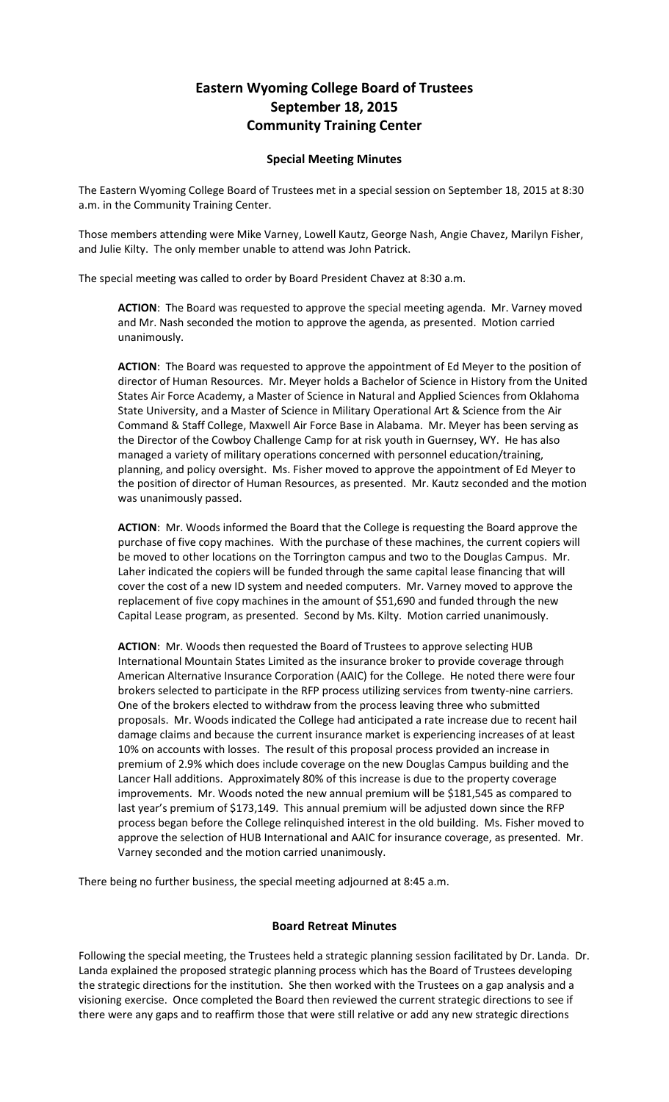## **Eastern Wyoming College Board of Trustees September 18, 2015 Community Training Center**

## **Special Meeting Minutes**

The Eastern Wyoming College Board of Trustees met in a special session on September 18, 2015 at 8:30 a.m. in the Community Training Center.

Those members attending were Mike Varney, Lowell Kautz, George Nash, Angie Chavez, Marilyn Fisher, and Julie Kilty. The only member unable to attend was John Patrick.

The special meeting was called to order by Board President Chavez at 8:30 a.m.

**ACTION**: The Board was requested to approve the special meeting agenda. Mr. Varney moved and Mr. Nash seconded the motion to approve the agenda, as presented. Motion carried unanimously.

**ACTION**: The Board was requested to approve the appointment of Ed Meyer to the position of director of Human Resources. Mr. Meyer holds a Bachelor of Science in History from the United States Air Force Academy, a Master of Science in Natural and Applied Sciences from Oklahoma State University, and a Master of Science in Military Operational Art & Science from the Air Command & Staff College, Maxwell Air Force Base in Alabama. Mr. Meyer has been serving as the Director of the Cowboy Challenge Camp for at risk youth in Guernsey, WY. He has also managed a variety of military operations concerned with personnel education/training, planning, and policy oversight. Ms. Fisher moved to approve the appointment of Ed Meyer to the position of director of Human Resources, as presented. Mr. Kautz seconded and the motion was unanimously passed.

**ACTION**: Mr. Woods informed the Board that the College is requesting the Board approve the purchase of five copy machines. With the purchase of these machines, the current copiers will be moved to other locations on the Torrington campus and two to the Douglas Campus. Mr. Laher indicated the copiers will be funded through the same capital lease financing that will cover the cost of a new ID system and needed computers. Mr. Varney moved to approve the replacement of five copy machines in the amount of \$51,690 and funded through the new Capital Lease program, as presented. Second by Ms. Kilty. Motion carried unanimously.

**ACTION**: Mr. Woods then requested the Board of Trustees to approve selecting HUB International Mountain States Limited as the insurance broker to provide coverage through American Alternative Insurance Corporation (AAIC) for the College. He noted there were four brokers selected to participate in the RFP process utilizing services from twenty-nine carriers. One of the brokers elected to withdraw from the process leaving three who submitted proposals. Mr. Woods indicated the College had anticipated a rate increase due to recent hail damage claims and because the current insurance market is experiencing increases of at least 10% on accounts with losses. The result of this proposal process provided an increase in premium of 2.9% which does include coverage on the new Douglas Campus building and the Lancer Hall additions. Approximately 80% of this increase is due to the property coverage improvements. Mr. Woods noted the new annual premium will be \$181,545 as compared to last year's premium of \$173,149. This annual premium will be adjusted down since the RFP process began before the College relinquished interest in the old building. Ms. Fisher moved to approve the selection of HUB International and AAIC for insurance coverage, as presented. Mr. Varney seconded and the motion carried unanimously.

There being no further business, the special meeting adjourned at 8:45 a.m.

## **Board Retreat Minutes**

Following the special meeting, the Trustees held a strategic planning session facilitated by Dr. Landa. Dr. Landa explained the proposed strategic planning process which has the Board of Trustees developing the strategic directions for the institution. She then worked with the Trustees on a gap analysis and a visioning exercise. Once completed the Board then reviewed the current strategic directions to see if there were any gaps and to reaffirm those that were still relative or add any new strategic directions